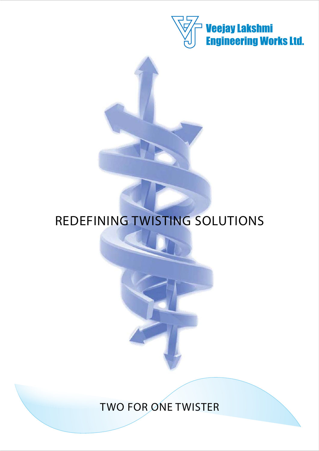

# REDEFINING TWISTING SOLUTIONS

TWO FOR ONE TWISTER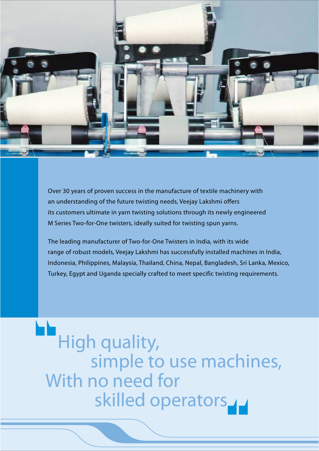

Over 30 years of proven success in the manufacture of textile machinery with an understanding of the future twisting needs, Veejay Lakshmi offers its customers ultimate in yarn twisting solutions through its newly engineered M Series Two-for-One twisters, ideally suited for twisting spun yarns.

The leading manufacturer of Two-for-One Twisters in India, with its wide range of robust models, Veejay Lakshmi has successfully installed machines in India, Indonesia, Philippines, Malaysia, Thailand, China, Nepal, Bangladesh, Sri Lanka, Mexico, Turkey, Egypt and Uganda specially crafted to meet specific twisting requirements.

 High quality, simple to use machines, With no need for skilled operators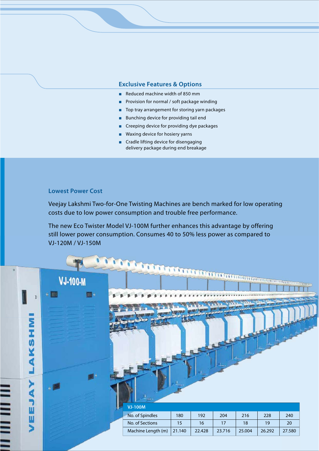#### **Exclusive Features & Options**

- Reduced machine width of 850 mm
- **Provision for normal / soft package winding**
- $\blacksquare$  Top tray arrangement for storing yarn packages
- $\blacksquare$  Bunching device for providing tail end
- $\blacksquare$  Creeping device for providing dye packages
- $\blacksquare$  Waxing device for hosiery yarns
- $\blacksquare$  Cradle lifting device for disengaging delivery package during end breakage

#### **Lowest Power Cost**

Veejay Lakshmi Two-for-One Twisting Machines are bench marked for low operating costs due to low power consumption and trouble free performance.

The new Eco Twister Model VJ-100M further enhances this advantage by offering still lower power consumption. Consumes 40 to 50% less power as compared to VJ-120M / VJ-150M

| Σ      | <b>VJ-100-M</b><br>+ 图 | $\mathbb{H}$ + |                                                      | <b>A PARTY OF BUILDING CONTINUES OF BUILDING COMMUNISMENT OF BUILDING CONTINUES.</b> |           |           |           |           | <b>MODELITER</b> |
|--------|------------------------|----------------|------------------------------------------------------|--------------------------------------------------------------------------------------|-----------|-----------|-----------|-----------|------------------|
| U)     |                        |                |                                                      |                                                                                      |           |           |           |           |                  |
| Ш<br>Ш |                        |                | <b>VJ-100M</b><br>No. of Spindles<br>No. of Sections | 180<br>15                                                                            | 192<br>16 | 204<br>17 | 216<br>18 | 228<br>19 | 240<br>20        |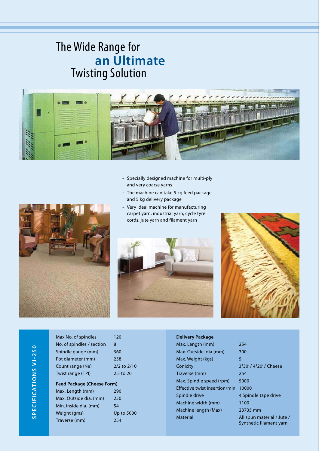## The Wide Range for **an Ultimate** Twisting Solution



- Specially designed machine for multi-ply and very coarse yarns
- The machine can take 5 kg feed package and 5 kg delivery package
- Very ideal machine for manufacturing carpet yarn, industrial yarn, cycle tyre cords, jute yarn and filament yarn







# SPECIFICATIONS VJ-250 **SPECIFICATIONS VJ-250**

| Max No. of spindles               | 120         |
|-----------------------------------|-------------|
| No. of spindles / section         | 8           |
| Spindle gauge (mm)                | 360         |
| Pot diameter (mm)                 | 258         |
| Count range (Ne)                  | 2/2 to 2/10 |
| Twist range (TPI)                 | 2.5 to 20   |
| <b>Feed Package (Cheese Form)</b> |             |
| Max. Length (mm)                  | 290         |
| Max. Outside dia. (mm)            | 250         |
| Min. inside dia. (mm)             | 54          |
| Weight (gms)                      | Up to 5000  |
| Traverse (mm)                     | 254         |

| <b>Delivery Package</b>       |         |
|-------------------------------|---------|
| Max. Length (mm)              | 254     |
| Max. Outside. dia (mm)        | 300     |
| Max. Weight (kgs)             | 5       |
| Conicity                      | 3°30'   |
| Traverse (mm)                 | 254     |
| Max. Spindle speed (rpm)      | 5000    |
| Effective twist insertion/min | 10000   |
| Spindle drive                 | 4 Spin  |
| Machine width (mm)            | 1100    |
| Machine length (Max)          | 23735   |
| Material                      | All spi |
|                               |         |

80' / 4°20' / Cheese pindle tape drive 735 mm spun material / Jute / Synthetic filament yarn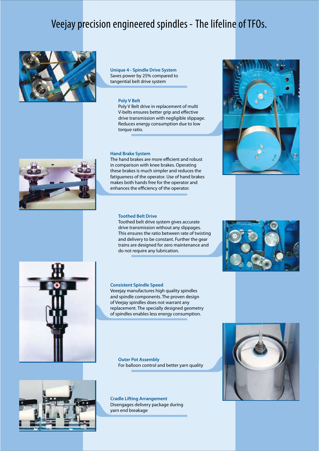## Veejay precision engineered spindles - The lifeline of TFOs.



**Unique 4 - Spindle Drive System** Saves power by 25% compared to tangential belt drive system

#### **Poly V Belt**

Poly V Belt drive in replacement of multi V-belts ensures better grip and effective drive transmission with negligible slippage. Reduces energy consumption due to low torque ratio.

#### **Hand Brake System**

The hand brakes are more efficient and robust in comparison with knee brakes. Operating these brakes is much simpler and reduces the fatigueness of the operator. Use of hand brakes makes both hands free for the operator and enhances the efficiency of the operator.

#### **Toothed Belt Drive**

Toothed belt drive system gives accurate drive transmission without any slippages. This ensures the ratio between rate of twisting and delivery to be constant. Further the gear trains are designed for zero maintenance and do not require any lubrication.

#### **Consistent Spindle Speed**

Veeejay manufactures high quality spindles and spindle components. The proven design of Veejay spindles does not warrant any replacement. The specially designed geometry of spindles enables less energy consumption.

**Outer Pot Assembly** For balloon control and better yarn quality

**Cradle Lifting Arrangement** Disengages delivery package during yarn end breakage